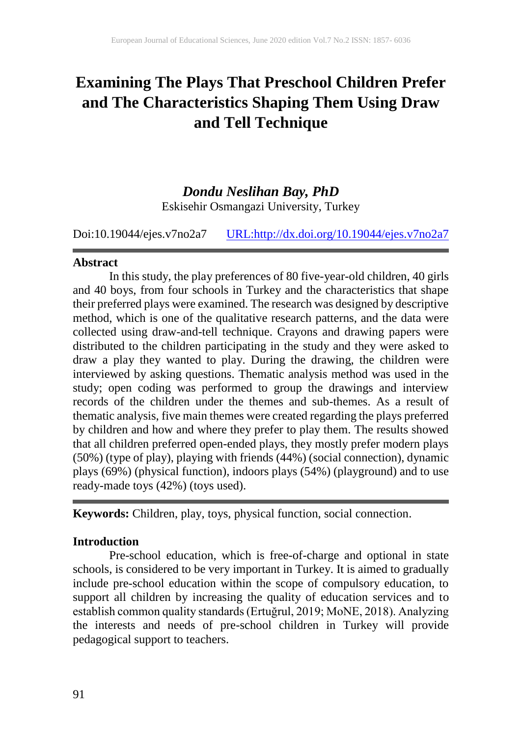# **Examining The Plays That Preschool Children Prefer and The Characteristics Shaping Them Using Draw and Tell Technique**

# *Dondu Neslihan Bay, PhD*

Eskisehir Osmangazi University, Turkey

Doi:10.19044/ejes.v7no2a7 [URL:http://dx.doi.org/10.19044/ejes.v7no2a7](http://dx.doi.org/10.19044/ejes.v7no2a7)

#### **Abstract**

In this study, the play preferences of 80 five-year-old children, 40 girls and 40 boys, from four schools in Turkey and the characteristics that shape their preferred plays were examined. The research was designed by descriptive method, which is one of the qualitative research patterns, and the data were collected using draw-and-tell technique. Crayons and drawing papers were distributed to the children participating in the study and they were asked to draw a play they wanted to play. During the drawing, the children were interviewed by asking questions. Thematic analysis method was used in the study; open coding was performed to group the drawings and interview records of the children under the themes and sub-themes. As a result of thematic analysis, five main themes were created regarding the plays preferred by children and how and where they prefer to play them. The results showed that all children preferred open-ended plays, they mostly prefer modern plays (50%) (type of play), playing with friends (44%) (social connection), dynamic plays (69%) (physical function), indoors plays (54%) (playground) and to use ready-made toys (42%) (toys used).

**Keywords:** Children, play, toys, physical function, social connection.

# **Introduction**

Pre-school education, which is free-of-charge and optional in state schools, is considered to be very important in Turkey. It is aimed to gradually include pre-school education within the scope of compulsory education, to support all children by increasing the quality of education services and to establish common quality standards (Ertuğrul, 2019; MoNE, 2018). Analyzing the interests and needs of pre-school children in Turkey will provide pedagogical support to teachers.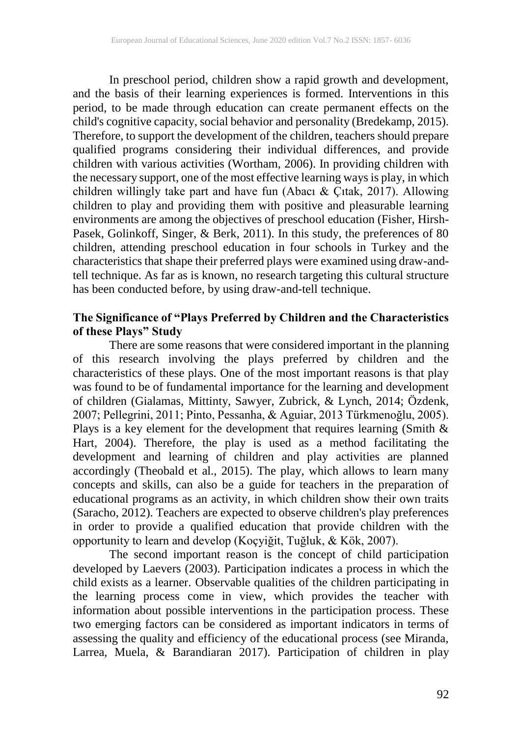In preschool period, children show a rapid growth and development, and the basis of their learning experiences is formed. Interventions in this period, to be made through education can create permanent effects on the child's cognitive capacity, social behavior and personality (Bredekamp, 2015). Therefore, to support the development of the children, teachers should prepare qualified programs considering their individual differences, and provide children with various activities (Wortham, 2006). In providing children with the necessary support, one of the most effective learning ways is play, in which children willingly take part and have fun (Abacı & Çıtak, 2017). Allowing children to play and providing them with positive and pleasurable learning environments are among the objectives of preschool education (Fisher, Hirsh-Pasek, Golinkoff, Singer, & Berk, 2011). In this study, the preferences of 80 children, attending preschool education in four schools in Turkey and the characteristics that shape their preferred plays were examined using draw-andtell technique. As far as is known, no research targeting this cultural structure has been conducted before, by using draw-and-tell technique.

# **The Significance of "Plays Preferred by Children and the Characteristics of these Plays" Study**

There are some reasons that were considered important in the planning of this research involving the plays preferred by children and the characteristics of these plays. One of the most important reasons is that play was found to be of fundamental importance for the learning and development of children (Gialamas, Mittinty, Sawyer, Zubrick, & Lynch, 2014; Özdenk, 2007; Pellegrini, 2011; Pinto, Pessanha, & Aguiar, 2013 Türkmenoğlu, 2005). Plays is a key element for the development that requires learning (Smith  $\&$ Hart, 2004). Therefore, the play is used as a method facilitating the development and learning of children and play activities are planned accordingly (Theobald et al., 2015). The play, which allows to learn many concepts and skills, can also be a guide for teachers in the preparation of educational programs as an activity, in which children show their own traits (Saracho, 2012). Teachers are expected to observe children's play preferences in order to provide a qualified education that provide children with the opportunity to learn and develop (Koçyiğit, Tuğluk, & Kök, 2007).

The second important reason is the concept of child participation developed by Laevers (2003). Participation indicates a process in which the child exists as a learner. Observable qualities of the children participating in the learning process come in view, which provides the teacher with information about possible interventions in the participation process. These two emerging factors can be considered as important indicators in terms of assessing the quality and efficiency of the educational process (see Miranda, Larrea, Muela, & Barandiaran 2017). Participation of children in play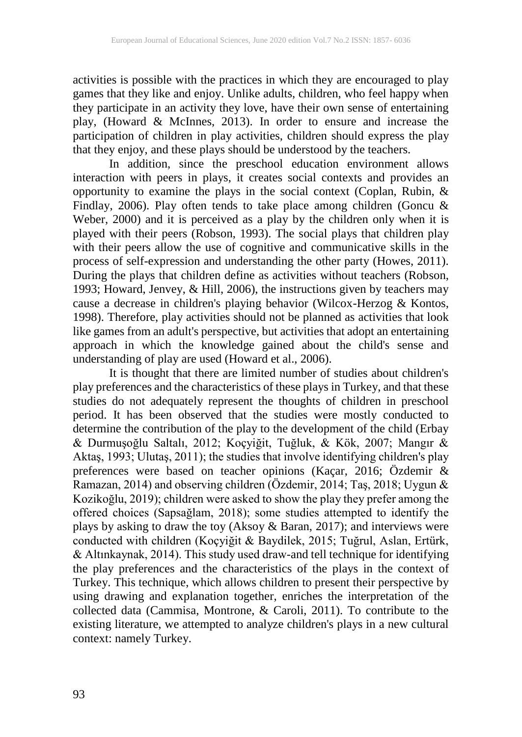activities is possible with the practices in which they are encouraged to play games that they like and enjoy. Unlike adults, children, who feel happy when they participate in an activity they love, have their own sense of entertaining play, (Howard & McInnes, 2013). In order to ensure and increase the participation of children in play activities, children should express the play that they enjoy, and these plays should be understood by the teachers.

In addition, since the preschool education environment allows interaction with peers in plays, it creates social contexts and provides an opportunity to examine the plays in the social context (Coplan, Rubin, & Findlay, 2006). Play often tends to take place among children (Goncu & Weber, 2000) and it is perceived as a play by the children only when it is played with their peers (Robson, 1993). The social plays that children play with their peers allow the use of cognitive and communicative skills in the process of self-expression and understanding the other party (Howes, 2011). During the plays that children define as activities without teachers (Robson, 1993; Howard, Jenvey, & Hill, 2006), the instructions given by teachers may cause a decrease in children's playing behavior (Wilcox-Herzog & Kontos, 1998). Therefore, play activities should not be planned as activities that look like games from an adult's perspective, but activities that adopt an entertaining approach in which the knowledge gained about the child's sense and understanding of play are used (Howard et al., 2006).

It is thought that there are limited number of studies about children's play preferences and the characteristics of these plays in Turkey, and that these studies do not adequately represent the thoughts of children in preschool period. It has been observed that the studies were mostly conducted to determine the contribution of the play to the development of the child (Erbay & Durmuşoğlu Saltalı, 2012; Koçyiğit, Tuğluk, & Kök, 2007; Mangır & Aktaş, 1993; Ulutaş, 2011); the studies that involve identifying children's play preferences were based on teacher opinions (Kaçar, 2016; Özdemir & Ramazan, 2014) and observing children (Özdemir, 2014; Taş, 2018; Uygun & Kozikoğlu, 2019); children were asked to show the play they prefer among the offered choices (Sapsağlam, 2018); some studies attempted to identify the plays by asking to draw the toy (Aksoy  $& Baran, 2017$ ); and interviews were conducted with children (Koçyiğit & Baydilek, 2015; Tuğrul, Aslan, Ertürk, & Altınkaynak, 2014). This study used draw-and tell technique for identifying the play preferences and the characteristics of the plays in the context of Turkey. This technique, which allows children to present their perspective by using drawing and explanation together, enriches the interpretation of the collected data (Cammisa, Montrone, & Caroli, 2011). To contribute to the existing literature, we attempted to analyze children's plays in a new cultural context: namely Turkey.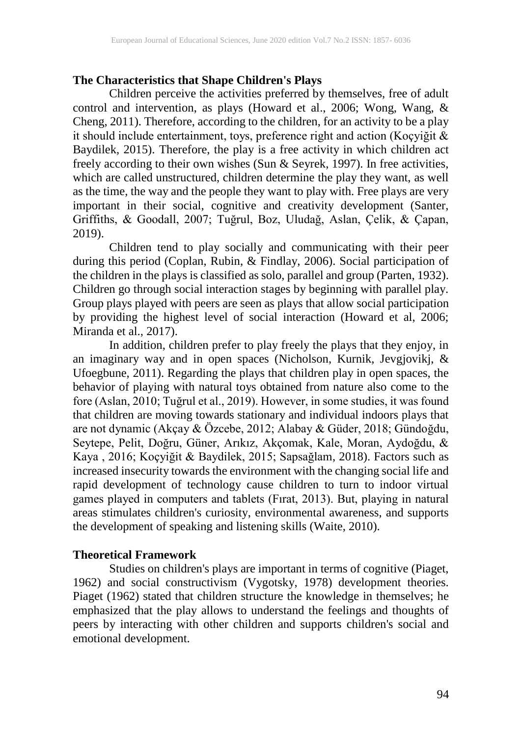# **The Characteristics that Shape Children's Plays**

Children perceive the activities preferred by themselves, free of adult control and intervention, as plays (Howard et al., 2006; Wong, Wang, & Cheng, 2011). Therefore, according to the children, for an activity to be a play it should include entertainment, toys, preference right and action (Koçyiğit & Baydilek, 2015). Therefore, the play is a free activity in which children act freely according to their own wishes (Sun & Seyrek, 1997). In free activities, which are called unstructured, children determine the play they want, as well as the time, the way and the people they want to play with. Free plays are very important in their social, cognitive and creativity development (Santer, Griffiths, & Goodall, 2007; Tuğrul, Boz, Uludağ, Aslan, Çelik, & Çapan, 2019).

Children tend to play socially and communicating with their peer during this period (Coplan, Rubin, & Findlay, 2006). Social participation of the children in the plays is classified as solo, parallel and group (Parten, 1932). Children go through social interaction stages by beginning with parallel play. Group plays played with peers are seen as plays that allow social participation by providing the highest level of social interaction (Howard et al, 2006; Miranda et al., 2017).

In addition, children prefer to play freely the plays that they enjoy, in an imaginary way and in open spaces (Nicholson, Kurnik, Jevgjovikj, & Ufoegbune, 2011). Regarding the plays that children play in open spaces, the behavior of playing with natural toys obtained from nature also come to the fore (Aslan, 2010; Tuğrul et al., 2019). However, in some studies, it was found that children are moving towards stationary and individual indoors plays that are not dynamic (Akçay & Özcebe, 2012; Alabay & Güder, 2018; Gündoğdu, Seytepe, Pelit, Doğru, Güner, Arıkız, Akçomak, Kale, Moran, Aydoğdu, & Kaya , 2016; Koçyiğit & Baydilek, 2015; Sapsağlam, 2018). Factors such as increased insecurity towards the environment with the changing social life and rapid development of technology cause children to turn to indoor virtual games played in computers and tablets (Fırat, 2013). But, playing in natural areas stimulates children's curiosity, environmental awareness, and supports the development of speaking and listening skills (Waite, 2010).

# **Theoretical Framework**

Studies on children's plays are important in terms of cognitive (Piaget, 1962) and social constructivism (Vygotsky, 1978) development theories. Piaget (1962) stated that children structure the knowledge in themselves; he emphasized that the play allows to understand the feelings and thoughts of peers by interacting with other children and supports children's social and emotional development.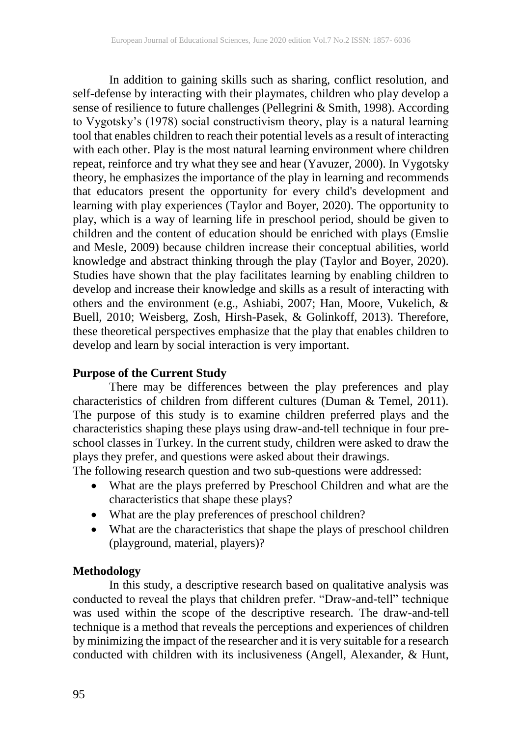In addition to gaining skills such as sharing, conflict resolution, and self-defense by interacting with their playmates, children who play develop a sense of resilience to future challenges (Pellegrini & Smith, 1998). According to Vygotsky's (1978) social constructivism theory, play is a natural learning tool that enables children to reach their potential levels as a result of interacting with each other. Play is the most natural learning environment where children repeat, reinforce and try what they see and hear (Yavuzer, 2000). In Vygotsky theory, he emphasizes the importance of the play in learning and recommends that educators present the opportunity for every child's development and learning with play experiences (Taylor and Boyer, 2020). The opportunity to play, which is a way of learning life in preschool period, should be given to children and the content of education should be enriched with plays (Emslie and Mesle, 2009) because children increase their conceptual abilities, world knowledge and abstract thinking through the play (Taylor and Boyer, 2020). Studies have shown that the play facilitates learning by enabling children to develop and increase their knowledge and skills as a result of interacting with others and the environment (e.g., Ashiabi, 2007; Han, Moore, Vukelich, & Buell, 2010; Weisberg, Zosh, Hirsh-Pasek, & Golinkoff, 2013). Therefore, these theoretical perspectives emphasize that the play that enables children to develop and learn by social interaction is very important.

### **Purpose of the Current Study**

There may be differences between the play preferences and play characteristics of children from different cultures (Duman & Temel, 2011). The purpose of this study is to examine children preferred plays and the characteristics shaping these plays using draw-and-tell technique in four preschool classes in Turkey. In the current study, children were asked to draw the plays they prefer, and questions were asked about their drawings.

The following research question and two sub-questions were addressed:

- What are the plays preferred by Preschool Children and what are the characteristics that shape these plays?
- What are the play preferences of preschool children?
- What are the characteristics that shape the plays of preschool children (playground, material, players)?

# **Methodology**

In this study, a descriptive research based on qualitative analysis was conducted to reveal the plays that children prefer. "Draw-and-tell" technique was used within the scope of the descriptive research. The draw-and-tell technique is a method that reveals the perceptions and experiences of children by minimizing the impact of the researcher and it is very suitable for a research conducted with children with its inclusiveness (Angell, Alexander, & Hunt,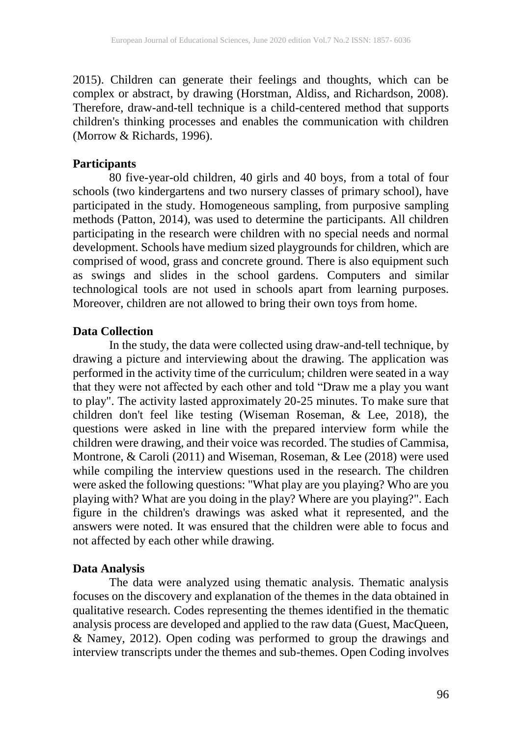2015). Children can generate their feelings and thoughts, which can be complex or abstract, by drawing (Horstman, Aldiss, and Richardson, 2008). Therefore, draw-and-tell technique is a child-centered method that supports children's thinking processes and enables the communication with children (Morrow & Richards, 1996).

#### **Participants**

80 five-year-old children, 40 girls and 40 boys, from a total of four schools (two kindergartens and two nursery classes of primary school), have participated in the study. Homogeneous sampling, from purposive sampling methods (Patton, 2014), was used to determine the participants. All children participating in the research were children with no special needs and normal development. Schools have medium sized playgrounds for children, which are comprised of wood, grass and concrete ground. There is also equipment such as swings and slides in the school gardens. Computers and similar technological tools are not used in schools apart from learning purposes. Moreover, children are not allowed to bring their own toys from home.

#### **Data Collection**

In the study, the data were collected using draw-and-tell technique, by drawing a picture and interviewing about the drawing. The application was performed in the activity time of the curriculum; children were seated in a way that they were not affected by each other and told "Draw me a play you want to play". The activity lasted approximately 20-25 minutes. To make sure that children don't feel like testing (Wiseman Roseman, & Lee, 2018), the questions were asked in line with the prepared interview form while the children were drawing, and their voice was recorded. The studies of Cammisa, Montrone, & Caroli (2011) and Wiseman, Roseman, & Lee (2018) were used while compiling the interview questions used in the research. The children were asked the following questions: "What play are you playing? Who are you playing with? What are you doing in the play? Where are you playing?". Each figure in the children's drawings was asked what it represented, and the answers were noted. It was ensured that the children were able to focus and not affected by each other while drawing.

### **Data Analysis**

The data were analyzed using thematic analysis. Thematic analysis focuses on the discovery and explanation of the themes in the data obtained in qualitative research. Codes representing the themes identified in the thematic analysis process are developed and applied to the raw data (Guest, MacQueen, & Namey, 2012). Open coding was performed to group the drawings and interview transcripts under the themes and sub-themes. Open Coding involves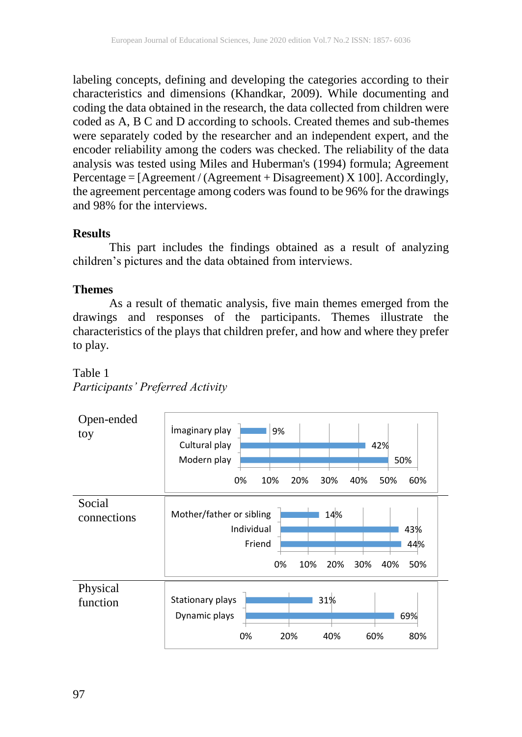labeling concepts, defining and developing the categories according to their characteristics and dimensions (Khandkar, 2009). While documenting and coding the data obtained in the research, the data collected from children were coded as A, B C and D according to schools. Created themes and sub-themes were separately coded by the researcher and an independent expert, and the encoder reliability among the coders was checked. The reliability of the data analysis was tested using Miles and Huberman's (1994) formula; Agreement Percentage =  $[Agreement / (Agreement + Disagreement) X 100]$ . Accordingly, the agreement percentage among coders was found to be 96% for the drawings and 98% for the interviews.

# **Results**

This part includes the findings obtained as a result of analyzing children's pictures and the data obtained from interviews.

# **Themes**

As a result of thematic analysis, five main themes emerged from the drawings and responses of the participants. Themes illustrate the characteristics of the plays that children prefer, and how and where they prefer to play.

# Table 1 *Participants' Preferred Activity*

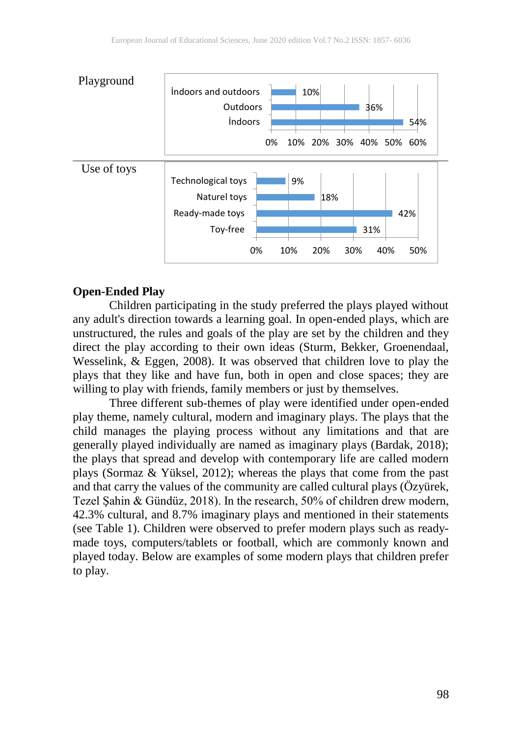

#### **Open-Ended Play**

Children participating in the study preferred the plays played without any adult's direction towards a learning goal. In open-ended plays, which are unstructured, the rules and goals of the play are set by the children and they direct the play according to their own ideas (Sturm, Bekker, Groenendaal, Wesselink, & Eggen, 2008). It was observed that children love to play the plays that they like and have fun, both in open and close spaces; they are willing to play with friends, family members or just by themselves.

Three different sub-themes of play were identified under open-ended play theme, namely cultural, modern and imaginary plays. The plays that the child manages the playing process without any limitations and that are generally played individually are named as imaginary plays (Bardak, 2018); the plays that spread and develop with contemporary life are called modern plays (Sormaz & Yüksel, 2012); whereas the plays that come from the past and that carry the values of the community are called cultural plays (Özyürek, Tezel Şahin & Gündüz, 2018). In the research, 50% of children drew modern, 42.3% cultural, and 8.7% imaginary plays and mentioned in their statements (see Table 1). Children were observed to prefer modern plays such as readymade toys, computers/tablets or football, which are commonly known and played today. Below are examples of some modern plays that children prefer to play.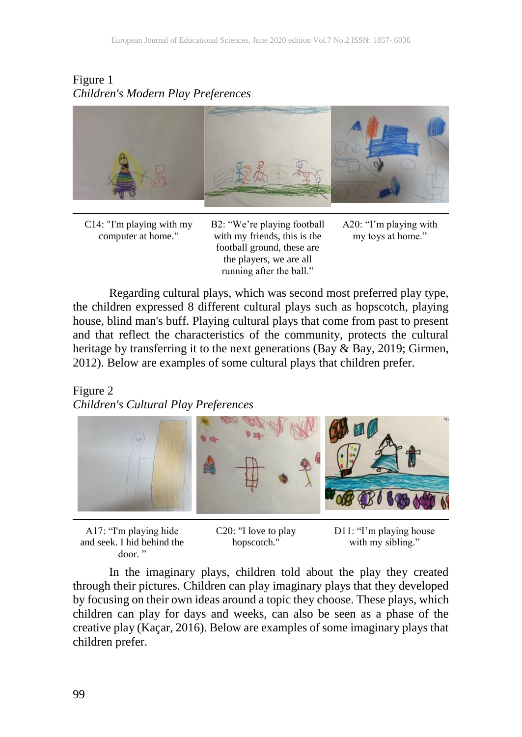# Figure 1 *Children's Modern Play Preferences*



C14: "I'm playing with my computer at home."

B2: "We're playing football with my friends, this is the football ground, these are the players, we are all running after the ball."

A20: "I'm playing with my toys at home."

Regarding cultural plays, which was second most preferred play type, the children expressed 8 different cultural plays such as hopscotch, playing house, blind man's buff. Playing cultural plays that come from past to present and that reflect the characteristics of the community, protects the cultural heritage by transferring it to the next generations (Bay & Bay, 2019; Girmen, 2012). Below are examples of some cultural plays that children prefer.

# Figure 2

*Children's Cultural Play Preferences*



A17: "I'm playing hide and seek. I hid behind the door. "

C20: "I love to play hopscotch."

D11: "I'm playing house with my sibling."

In the imaginary plays, children told about the play they created through their pictures. Children can play imaginary plays that they developed by focusing on their own ideas around a topic they choose. These plays, which children can play for days and weeks, can also be seen as a phase of the creative play (Kaçar, 2016). Below are examples of some imaginary plays that children prefer.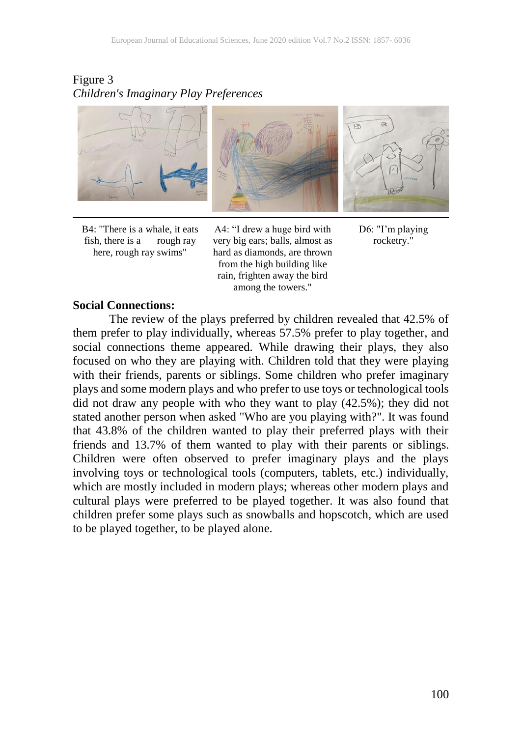# Figure 3 *Children's Imaginary Play Preferences*



B4: "There is a whale, it eats fish, there is a rough ray here, rough ray swims"

A4: "I drew a huge bird with very big ears; balls, almost as hard as diamonds, are thrown from the high building like rain, frighten away the bird among the towers."



#### **Social Connections:**

The review of the plays preferred by children revealed that 42.5% of them prefer to play individually, whereas 57.5% prefer to play together, and social connections theme appeared. While drawing their plays, they also focused on who they are playing with. Children told that they were playing with their friends, parents or siblings. Some children who prefer imaginary plays and some modern plays and who prefer to use toys or technological tools did not draw any people with who they want to play (42.5%); they did not stated another person when asked "Who are you playing with?". It was found that 43.8% of the children wanted to play their preferred plays with their friends and 13.7% of them wanted to play with their parents or siblings. Children were often observed to prefer imaginary plays and the plays involving toys or technological tools (computers, tablets, etc.) individually, which are mostly included in modern plays; whereas other modern plays and cultural plays were preferred to be played together. It was also found that children prefer some plays such as snowballs and hopscotch, which are used to be played together, to be played alone.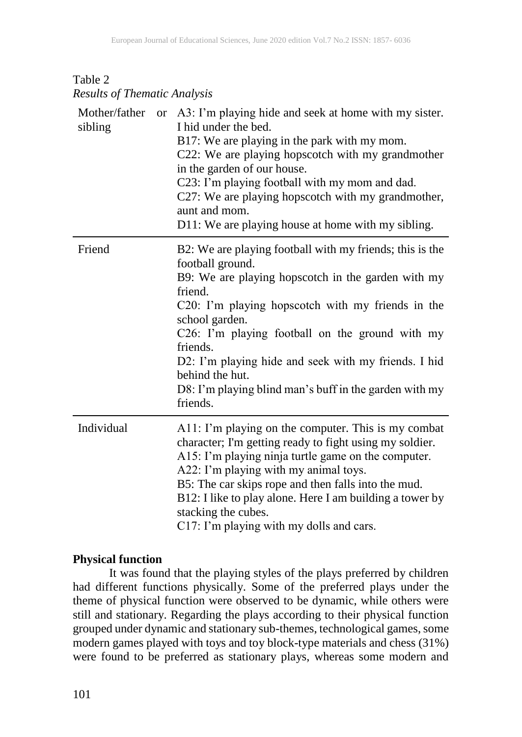| Table 2 |                                     |
|---------|-------------------------------------|
|         | <b>Results of Thematic Analysis</b> |

| Mother/father<br>sibling | or A3: I'm playing hide and seek at home with my sister.<br>I hid under the bed.<br>B17: We are playing in the park with my mom.<br>C22: We are playing hopscotch with my grandmother<br>in the garden of our house.<br>C23: I'm playing football with my mom and dad.<br>C27: We are playing hopscotch with my grandmother,<br>aunt and mom.<br>D11: We are playing house at home with my sibling.                                  |
|--------------------------|--------------------------------------------------------------------------------------------------------------------------------------------------------------------------------------------------------------------------------------------------------------------------------------------------------------------------------------------------------------------------------------------------------------------------------------|
| Friend                   | B2: We are playing football with my friends; this is the<br>football ground.<br>B9: We are playing hopscotch in the garden with my<br>friend.<br>C20: I'm playing hopscotch with my friends in the<br>school garden.<br>C26: I'm playing football on the ground with my<br>friends.<br>D2: I'm playing hide and seek with my friends. I hid<br>behind the hut.<br>D8: I'm playing blind man's buff in the garden with my<br>friends. |
| Individual               | A11: I'm playing on the computer. This is my combat<br>character; I'm getting ready to fight using my soldier.<br>A15: I'm playing ninja turtle game on the computer.<br>A22: I'm playing with my animal toys.<br>B5: The car skips rope and then falls into the mud.<br>B12: I like to play alone. Here I am building a tower by<br>stacking the cubes.<br>C17: I'm playing with my dolls and cars.                                 |

### **Physical function**

It was found that the playing styles of the plays preferred by children had different functions physically. Some of the preferred plays under the theme of physical function were observed to be dynamic, while others were still and stationary. Regarding the plays according to their physical function grouped under dynamic and stationary sub-themes, technological games, some modern games played with toys and toy block-type materials and chess (31%) were found to be preferred as stationary plays, whereas some modern and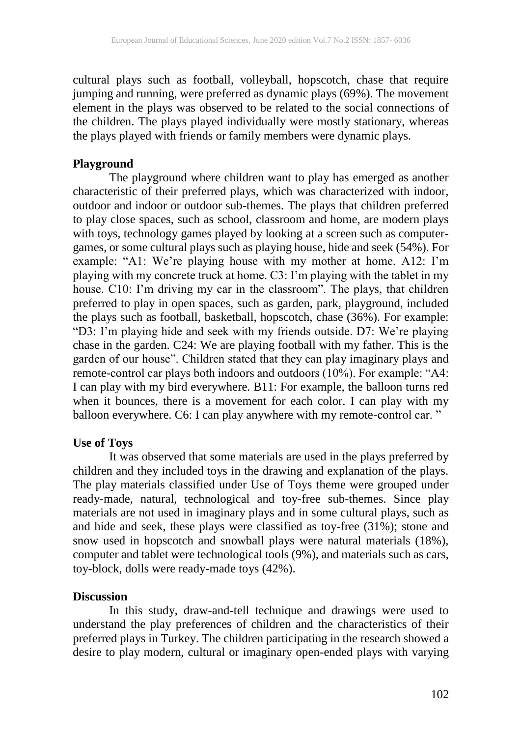cultural plays such as football, volleyball, hopscotch, chase that require jumping and running, were preferred as dynamic plays (69%). The movement element in the plays was observed to be related to the social connections of the children. The plays played individually were mostly stationary, whereas the plays played with friends or family members were dynamic plays.

### **Playground**

The playground where children want to play has emerged as another characteristic of their preferred plays, which was characterized with indoor, outdoor and indoor or outdoor sub-themes. The plays that children preferred to play close spaces, such as school, classroom and home, are modern plays with toys, technology games played by looking at a screen such as computergames, or some cultural plays such as playing house, hide and seek (54%). For example: "A1: We're playing house with my mother at home. A12: I'm playing with my concrete truck at home. C3: I'm playing with the tablet in my house. C10: I'm driving my car in the classroom". The plays, that children preferred to play in open spaces, such as garden, park, playground, included the plays such as football, basketball, hopscotch, chase (36%). For example: "D3: I'm playing hide and seek with my friends outside. D7: We're playing chase in the garden. C24: We are playing football with my father. This is the garden of our house". Children stated that they can play imaginary plays and remote-control car plays both indoors and outdoors (10%). For example: "A4: I can play with my bird everywhere. B11: For example, the balloon turns red when it bounces, there is a movement for each color. I can play with my balloon everywhere. C6: I can play anywhere with my remote-control car. "

# **Use of Toys**

It was observed that some materials are used in the plays preferred by children and they included toys in the drawing and explanation of the plays. The play materials classified under Use of Toys theme were grouped under ready-made, natural, technological and toy-free sub-themes. Since play materials are not used in imaginary plays and in some cultural plays, such as and hide and seek, these plays were classified as toy-free (31%); stone and snow used in hopscotch and snowball plays were natural materials (18%), computer and tablet were technological tools (9%), and materials such as cars, toy-block, dolls were ready-made toys (42%).

# **Discussion**

In this study, draw-and-tell technique and drawings were used to understand the play preferences of children and the characteristics of their preferred plays in Turkey. The children participating in the research showed a desire to play modern, cultural or imaginary open-ended plays with varying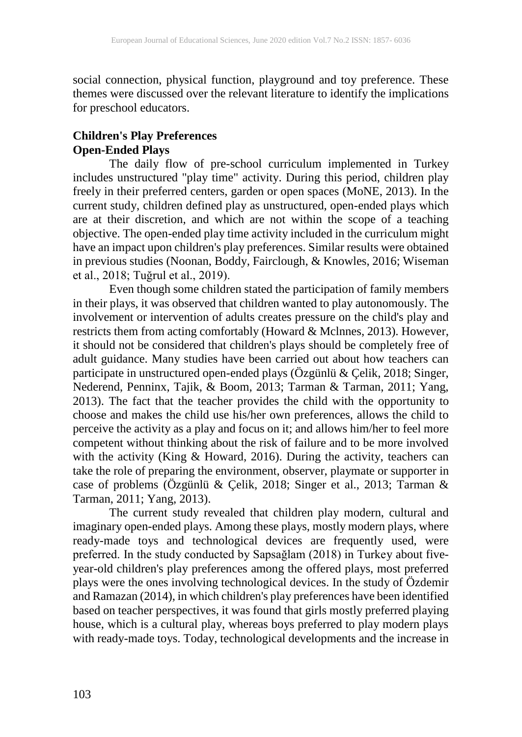social connection, physical function, playground and toy preference. These themes were discussed over the relevant literature to identify the implications for preschool educators.

# **Children's Play Preferences Open-Ended Plays**

The daily flow of pre-school curriculum implemented in Turkey includes unstructured "play time" activity. During this period, children play freely in their preferred centers, garden or open spaces (MoNE, 2013). In the current study, children defined play as unstructured, open-ended plays which are at their discretion, and which are not within the scope of a teaching objective. The open-ended play time activity included in the curriculum might have an impact upon children's play preferences. Similar results were obtained in previous studies (Noonan, Boddy, Fairclough, & Knowles, 2016; Wiseman et al., 2018; Tuğrul et al., 2019).

Even though some children stated the participation of family members in their plays, it was observed that children wanted to play autonomously. The involvement or intervention of adults creates pressure on the child's play and restricts them from acting comfortably (Howard & Mclnnes, 2013). However, it should not be considered that children's plays should be completely free of adult guidance. Many studies have been carried out about how teachers can participate in unstructured open-ended plays (Özgünlü & Çelik, 2018; Singer, Nederend, Penninx, Tajik, & Boom, 2013; Tarman & Tarman, 2011; Yang, 2013). The fact that the teacher provides the child with the opportunity to choose and makes the child use his/her own preferences, allows the child to perceive the activity as a play and focus on it; and allows him/her to feel more competent without thinking about the risk of failure and to be more involved with the activity (King & Howard, 2016). During the activity, teachers can take the role of preparing the environment, observer, playmate or supporter in case of problems (Özgünlü & Çelik, 2018; Singer et al., 2013; Tarman & Tarman, 2011; Yang, 2013).

The current study revealed that children play modern, cultural and imaginary open-ended plays. Among these plays, mostly modern plays, where ready-made toys and technological devices are frequently used, were preferred. In the study conducted by Sapsağlam (2018) in Turkey about fiveyear-old children's play preferences among the offered plays, most preferred plays were the ones involving technological devices. In the study of Özdemir and Ramazan (2014), in which children's play preferences have been identified based on teacher perspectives, it was found that girls mostly preferred playing house, which is a cultural play, whereas boys preferred to play modern plays with ready-made toys. Today, technological developments and the increase in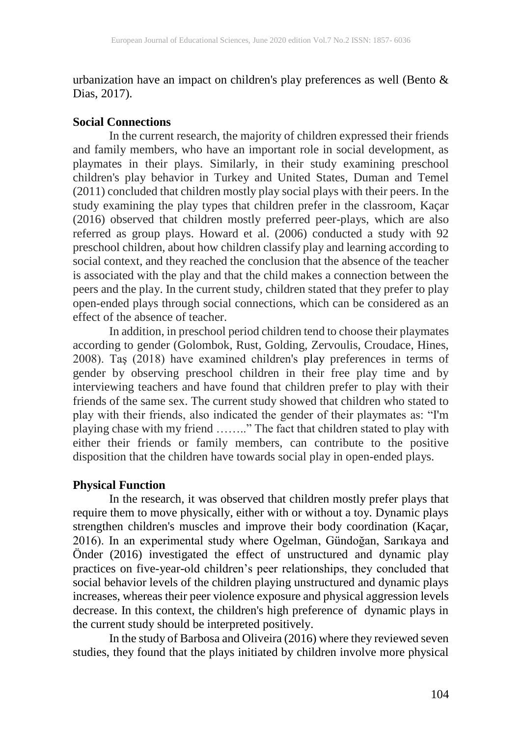urbanization have an impact on children's play preferences as well (Bento  $\&$ Dias, 2017).

### **Social Connections**

In the current research, the majority of children expressed their friends and family members, who have an important role in social development, as playmates in their plays. Similarly, in their study examining preschool children's play behavior in Turkey and United States, Duman and Temel (2011) concluded that children mostly play social plays with their peers. In the study examining the play types that children prefer in the classroom, Kaçar (2016) observed that children mostly preferred peer-plays, which are also referred as group plays. Howard et al. (2006) conducted a study with 92 preschool children, about how children classify play and learning according to social context, and they reached the conclusion that the absence of the teacher is associated with the play and that the child makes a connection between the peers and the play. In the current study, children stated that they prefer to play open-ended plays through social connections, which can be considered as an effect of the absence of teacher.

In addition, in preschool period children tend to choose their playmates according to gender (Golombok, Rust, Golding, Zervoulis, Croudace, Hines, 2008). Taş (2018) have examined children's play preferences in terms of gender by observing preschool children in their free play time and by interviewing teachers and have found that children prefer to play with their friends of the same sex. The current study showed that children who stated to play with their friends, also indicated the gender of their playmates as: "I'm playing chase with my friend …….." The fact that children stated to play with either their friends or family members, can contribute to the positive disposition that the children have towards social play in open-ended plays.

# **Physical Function**

In the research, it was observed that children mostly prefer plays that require them to move physically, either with or without a toy. Dynamic plays strengthen children's muscles and improve their body coordination (Kaçar, 2016). In an experimental study where Ogelman, Gündoğan, Sarıkaya and Önder (2016) investigated the effect of unstructured and dynamic play practices on five-year-old children's peer relationships, they concluded that social behavior levels of the children playing unstructured and dynamic plays increases, whereas their peer violence exposure and physical aggression levels decrease. In this context, the children's high preference of dynamic plays in the current study should be interpreted positively.

In the study of Barbosa and Oliveira (2016) where they reviewed seven studies, they found that the plays initiated by children involve more physical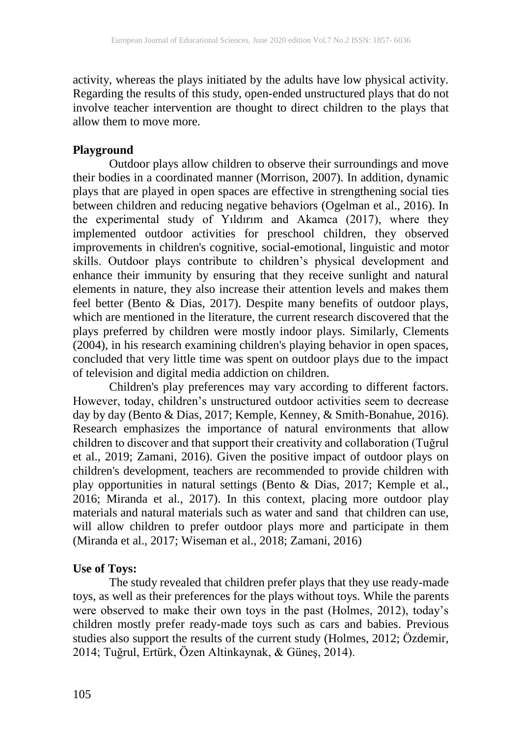activity, whereas the plays initiated by the adults have low physical activity. Regarding the results of this study, open-ended unstructured plays that do not involve teacher intervention are thought to direct children to the plays that allow them to move more.

### **Playground**

Outdoor plays allow children to observe their surroundings and move their bodies in a coordinated manner (Morrison, 2007). In addition, dynamic plays that are played in open spaces are effective in strengthening social ties between children and reducing negative behaviors (Ogelman et al., 2016). In the experimental study of Yıldırım and Akamca (2017), where they implemented outdoor activities for preschool children, they observed improvements in children's cognitive, social-emotional, linguistic and motor skills. Outdoor plays contribute to children's physical development and enhance their immunity by ensuring that they receive sunlight and natural elements in nature, they also increase their attention levels and makes them feel better (Bento & Dias, 2017). Despite many benefits of outdoor plays, which are mentioned in the literature, the current research discovered that the plays preferred by children were mostly indoor plays. Similarly, Clements (2004), in his research examining children's playing behavior in open spaces, concluded that very little time was spent on outdoor plays due to the impact of television and digital media addiction on children.

Children's play preferences may vary according to different factors. However, today, children's unstructured outdoor activities seem to decrease day by day (Bento & Dias, 2017; Kemple, Kenney, & Smith-Bonahue, 2016). Research emphasizes the importance of natural environments that allow children to discover and that support their creativity and collaboration (Tuğrul et al., 2019; Zamani, 2016). Given the positive impact of outdoor plays on children's development, teachers are recommended to provide children with play opportunities in natural settings (Bento & Dias, 2017; Kemple et al., 2016; Miranda et al., 2017). In this context, placing more outdoor play materials and natural materials such as water and sand that children can use, will allow children to prefer outdoor plays more and participate in them (Miranda et al., 2017; Wiseman et al., 2018; Zamani, 2016)

# **Use of Toys:**

The study revealed that children prefer plays that they use ready-made toys, as well as their preferences for the plays without toys. While the parents were observed to make their own toys in the past (Holmes, 2012), today's children mostly prefer ready-made toys such as cars and babies. Previous studies also support the results of the current study (Holmes, 2012; Özdemir, 2014; Tuğrul, Ertürk, Özen Altinkaynak, & Güneş, 2014).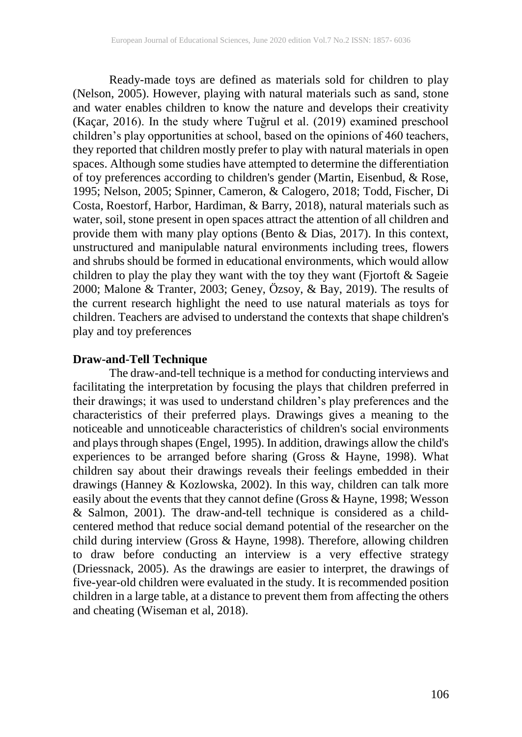Ready-made toys are defined as materials sold for children to play (Nelson, 2005). However, playing with natural materials such as sand, stone and water enables children to know the nature and develops their creativity (Kaçar, 2016). In the study where Tuğrul et al. (2019) examined preschool children's play opportunities at school, based on the opinions of 460 teachers, they reported that children mostly prefer to play with natural materials in open spaces. Although some studies have attempted to determine the differentiation of toy preferences according to children's gender (Martin, Eisenbud, & Rose, 1995; Nelson, 2005; Spinner, Cameron, & Calogero, 2018; Todd, Fischer, Di Costa, Roestorf, Harbor, Hardiman, & Barry, 2018), natural materials such as water, soil, stone present in open spaces attract the attention of all children and provide them with many play options (Bento & Dias, 2017). In this context, unstructured and manipulable natural environments including trees, flowers and shrubs should be formed in educational environments, which would allow children to play the play they want with the toy they want (Fjortoft  $\&$  Sageie 2000; Malone & Tranter, 2003; Geney, Özsoy, & Bay, 2019). The results of the current research highlight the need to use natural materials as toys for children. Teachers are advised to understand the contexts that shape children's play and toy preferences

### **Draw-and-Tell Technique**

The draw-and-tell technique is a method for conducting interviews and facilitating the interpretation by focusing the plays that children preferred in their drawings; it was used to understand children's play preferences and the characteristics of their preferred plays. Drawings gives a meaning to the noticeable and unnoticeable characteristics of children's social environments and plays through shapes (Engel, 1995). In addition, drawings allow the child's experiences to be arranged before sharing (Gross & Hayne, 1998). What children say about their drawings reveals their feelings embedded in their drawings (Hanney & Kozlowska, 2002). In this way, children can talk more easily about the events that they cannot define (Gross & Hayne, 1998; Wesson & Salmon, 2001). The draw-and-tell technique is considered as a childcentered method that reduce social demand potential of the researcher on the child during interview (Gross & Hayne, 1998). Therefore, allowing children to draw before conducting an interview is a very effective strategy (Driessnack, 2005). As the drawings are easier to interpret, the drawings of five-year-old children were evaluated in the study. It is recommended position children in a large table, at a distance to prevent them from affecting the others and cheating (Wiseman et al, 2018).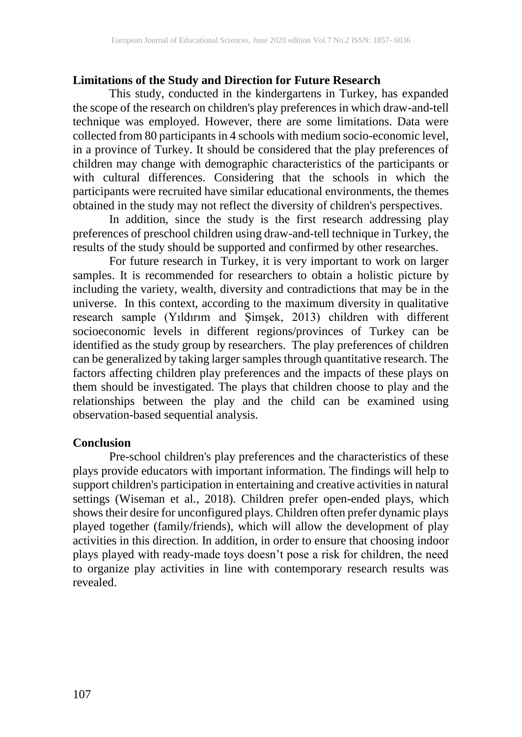### **Limitations of the Study and Direction for Future Research**

This study, conducted in the kindergartens in Turkey, has expanded the scope of the research on children's play preferences in which draw-and-tell technique was employed. However, there are some limitations. Data were collected from 80 participants in 4 schools with medium socio-economic level, in a province of Turkey. It should be considered that the play preferences of children may change with demographic characteristics of the participants or with cultural differences. Considering that the schools in which the participants were recruited have similar educational environments, the themes obtained in the study may not reflect the diversity of children's perspectives.

In addition, since the study is the first research addressing play preferences of preschool children using draw-and-tell technique in Turkey, the results of the study should be supported and confirmed by other researches.

For future research in Turkey, it is very important to work on larger samples. It is recommended for researchers to obtain a holistic picture by including the variety, wealth, diversity and contradictions that may be in the universe. In this context, according to the maximum diversity in qualitative research sample (Yıldırım and Şimşek, 2013) children with different socioeconomic levels in different regions/provinces of Turkey can be identified as the study group by researchers. The play preferences of children can be generalized by taking larger samples through quantitative research. The factors affecting children play preferences and the impacts of these plays on them should be investigated. The plays that children choose to play and the relationships between the play and the child can be examined using observation-based sequential analysis.

#### **Conclusion**

Pre-school children's play preferences and the characteristics of these plays provide educators with important information. The findings will help to support children's participation in entertaining and creative activities in natural settings (Wiseman et al., 2018). Children prefer open-ended plays, which shows their desire for unconfigured plays. Children often prefer dynamic plays played together (family/friends), which will allow the development of play activities in this direction. In addition, in order to ensure that choosing indoor plays played with ready-made toys doesn't pose a risk for children, the need to organize play activities in line with contemporary research results was revealed.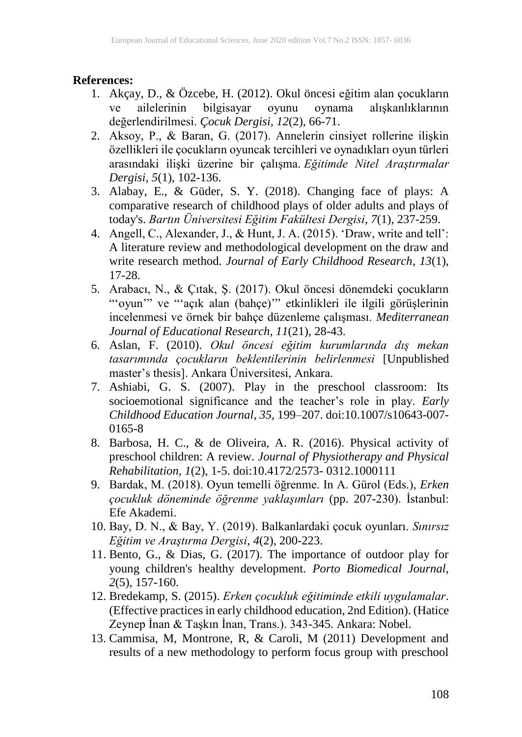### **References:**

- 1. Akçay, D., & Özcebe, H. (2012). Okul öncesi eğitim alan çocukların ve ailelerinin bilgisayar oyunu oynama alışkanlıklarının değerlendirilmesi. *Çocuk Dergisi, 12*(2), 66-71.
- 2. Aksoy, P., & Baran, G. (2017). Annelerin cinsiyet rollerine ilişkin özellikleri ile çocukların oyuncak tercihleri ve oynadıkları oyun türleri arasındaki ilişki üzerine bir çalışma. *Eğitimde Nitel Araştırmalar Dergisi*, *5*(1), 102-136.
- 3. Alabay, E., & Güder, S. Y. (2018). Changing face of plays: A comparative research of childhood plays of older adults and plays of today's. *Bartın Üniversitesi Eğitim Fakültesi Dergisi*, *7*(1), 237-259.
- 4. Angell, C., Alexander, J., & Hunt, J. A. (2015). 'Draw, write and tell': A literature review and methodological development on the draw and write research method. *Journal of Early Childhood Research*, *13*(1), 17-28.
- 5. Arabacı, N., & Çıtak, Ş. (2017). Okul öncesi dönemdeki çocukların "'oyun'" ve "'açık alan (bahçe)'" etkinlikleri ile ilgili görüşlerinin incelenmesi ve örnek bir bahçe düzenleme çalışması. *Mediterranean Journal of Educational Research*, *11*(21), 28-43.
- 6. Aslan, F. (2010). *Okul öncesi eğitim kurumlarında dış mekan tasarımında çocukların beklentilerinin belirlenmesi* [Unpublished master's thesis]. Ankara Üniversitesi, Ankara.
- 7. Ashiabi, G. S. (2007). Play in the preschool classroom: Its socioemotional significance and the teacher's role in play. *Early Childhood Education Journal, 35,* 199–207. doi:10.1007/s10643-007- 0165-8
- 8. Barbosa, H. C., & de Oliveira, A. R. (2016). Physical activity of preschool children: A review. *Journal of Physiotherapy and Physical Rehabilitation, 1*(2), 1-5. doi:10.4172/2573- 0312.1000111
- 9. Bardak, M. (2018). Oyun temelli öğrenme. In A. Gürol (Eds.), *Erken çocukluk döneminde öğrenme yaklaşımları* (pp. 207-230). İstanbul: Efe Akademi.
- 10. Bay, D. N., & Bay, Y. (2019). Balkanlardaki çocuk oyunları. *Sınırsız Eğitim ve Araştırma Dergisi*, *4*(2), 200-223.
- 11. Bento, G., & Dias, G. (2017). The importance of outdoor play for young children's healthy development. *Porto Biomedical Journal*,  $2(5)$ , 157-160.
- 12. Bredekamp, S. (2015). *Erken çocukluk eğitiminde etkili uygulamalar*. (Effective practices in early childhood education, 2nd Edition). (Hatice Zeynep İnan & Taşkın İnan, Trans.). 343-345. Ankara: Nobel.
- 13. Cammisa, M, Montrone, R, & Caroli, M (2011) Development and results of a new methodology to perform focus group with preschool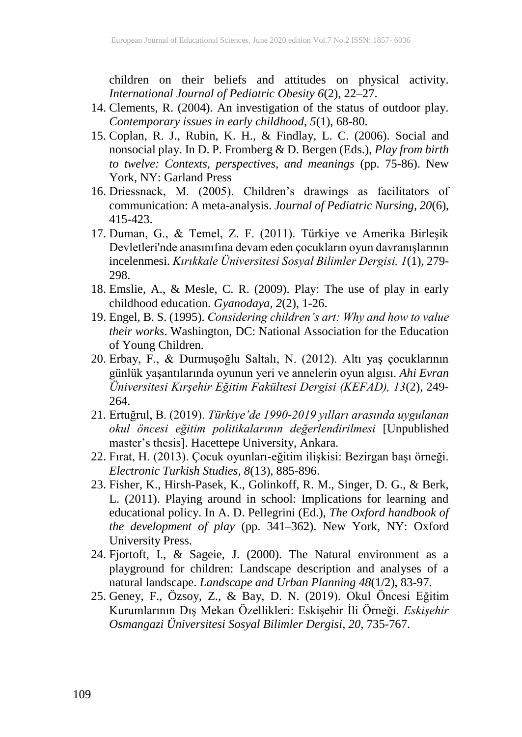children on their beliefs and attitudes on physical activity. *International Journal of Pediatric Obesity 6*(2), 22–27.

- 14. Clements, R. (2004). An investigation of the status of outdoor play. *Contemporary issues in early childhood*, *5*(1), 68-80.
- 15. Coplan, R. J., Rubin, K. H., & Findlay, L. C. (2006). Social and nonsocial play. In D. P. Fromberg & D. Bergen (Eds.), *Play from birth to twelve: Contexts, perspectives, and meanings* (pp. 75-86). New York, NY: Garland Press
- 16. Driessnack, M. (2005). Children's drawings as facilitators of communication: A meta-analysis. *Journal of Pediatric Nursing, 20*(6), 415-423.
- 17. Duman, G., & Temel, Z. F. (2011). Türkiye ve Amerika Birleşik Devletleri'nde anasınıfına devam eden çocukların oyun davranışlarının incelenmesi. *Kırıkkale Üniversitesi Sosyal Bilimler Dergisi, 1*(1), 279- 298.
- 18. Emslie, A., & Mesle, C. R. (2009). Play: The use of play in early childhood education. *Gyanodaya, 2*(2), 1-26.
- 19. Engel, B. S. (1995). *Considering children's art: Why and how to value their works*. Washington, DC: National Association for the Education of Young Children.
- 20. Erbay, F., & Durmuşoğlu Saltalı, N. (2012). Altı yaş çocuklarının günlük yaşantılarında oyunun yeri ve annelerin oyun algısı. *Ahi Evran Üniversitesi Kırşehir Eğitim Fakültesi Dergisi (KEFAD), 13*(2), 249- 264.
- 21. Ertuğrul, B. (2019). *Türkiye'de 1990-2019 yılları arasında uygulanan okul öncesi eğitim politikalarının değerlendirilmesi* [Unpublished master's thesis]. Hacettepe University, Ankara.
- 22. Fırat, H. (2013). Çocuk oyunları-eğitim ilişkisi: Bezirgan başı örneği. *Electronic Turkish Studies, 8*(13), 885-896.
- 23. Fisher, K., Hirsh-Pasek, K., Golinkoff, R. M., Singer, D. G., & Berk, L. (2011). Playing around in school: Implications for learning and educational policy. In A. D. Pellegrini (Ed.), *The Oxford handbook of the development of play* (pp. 341–362). New York, NY: Oxford University Press.
- 24. Fjortoft, I., & Sageie, J. (2000). The Natural environment as a playground for children: Landscape description and analyses of a natural landscape. *Landscape and Urban Planning 48*(1/2), 83-97.
- 25. Geney, F., Özsoy, Z., & Bay, D. N. (2019). Okul Öncesi Eğitim Kurumlarının Dış Mekan Özellikleri: Eskişehir İli Örneği. *Eskişehir Osmangazi Üniversitesi Sosyal Bilimler Dergisi*, *20*, 735-767.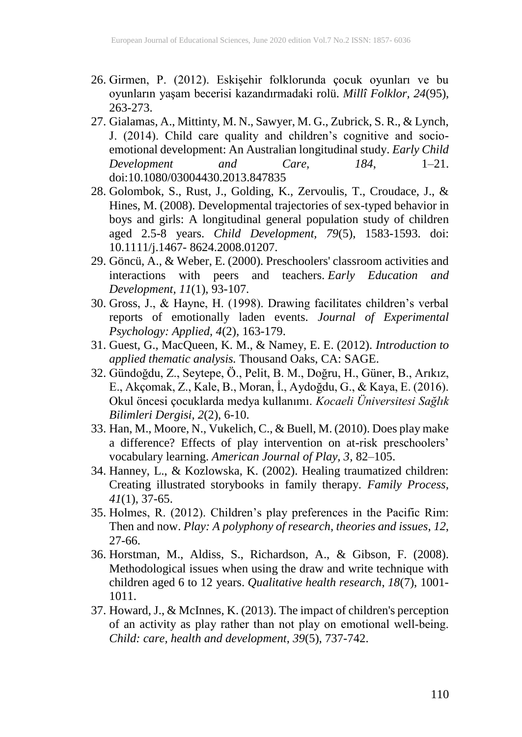- 26. Girmen, P. (2012). Eskişehir folklorunda çocuk oyunları ve bu oyunların yaşam becerisi kazandırmadaki rolü. *Millî Folklor, 24*(95), 263-273.
- 27. Gialamas, A., Mittinty, M. N., Sawyer, M. G., Zubrick, S. R., & Lynch, J. (2014). Child care quality and children's cognitive and socioemotional development: An Australian longitudinal study. *Early Child Development and Care, 184*, 1–21. doi:10.1080/03004430.2013.847835
- 28. Golombok, S., Rust, J., Golding, K., Zervoulis, T., Croudace, J., & Hines, M. (2008). Developmental trajectories of sex-typed behavior in boys and girls: A longitudinal general population study of children aged 2.5-8 years. *Child Development, 79*(5), 1583-1593. doi: 10.1111/j.1467- 8624.2008.01207.
- 29. Göncü, A., & Weber, E. (2000). Preschoolers' classroom activities and interactions with peers and teachers. *Early Education and Development, 11*(1), 93-107.
- 30. Gross, J., & Hayne, H. (1998). Drawing facilitates children's verbal reports of emotionally laden events. *Journal of Experimental Psychology: Applied, 4*(2), 163-179.
- 31. Guest, G., MacQueen, K. M., & Namey, E. E. (2012). *Introduction to applied thematic analysis.* Thousand Oaks, CA: SAGE.
- 32. Gündoğdu, Z., Seytepe, Ö., Pelit, B. M., Doğru, H., Güner, B., Arıkız, E., Akçomak, Z., Kale, B., Moran, İ., Aydoğdu, G., & Kaya, E. (2016). Okul öncesi çocuklarda medya kullanımı. *Kocaeli Üniversitesi Sağlık Bilimleri Dergisi, 2*(2), 6-10.
- 33. Han, M., Moore, N., Vukelich, C., & Buell, M. (2010). Does play make a difference? Effects of play intervention on at-risk preschoolers' vocabulary learning. *American Journal of Play, 3,* 82–105.
- 34. Hanney, L., & Kozlowska, K. (2002). Healing traumatized children: Creating illustrated storybooks in family therapy. *Family Process, 41*(1), 37-65.
- 35. Holmes, R. (2012). Children's play preferences in the Pacific Rim: Then and now. *Play: A polyphony of research, theories and issues*, *12*, 27-66.
- 36. Horstman, M., Aldiss, S., Richardson, A., & Gibson, F. (2008). Methodological issues when using the draw and write technique with children aged 6 to 12 years. *Qualitative health research*, *18*(7), 1001- 1011.
- 37. Howard, J., & McInnes, K. (2013). The impact of children's perception of an activity as play rather than not play on emotional well‐being. *Child: care, health and development*, *39*(5), 737-742.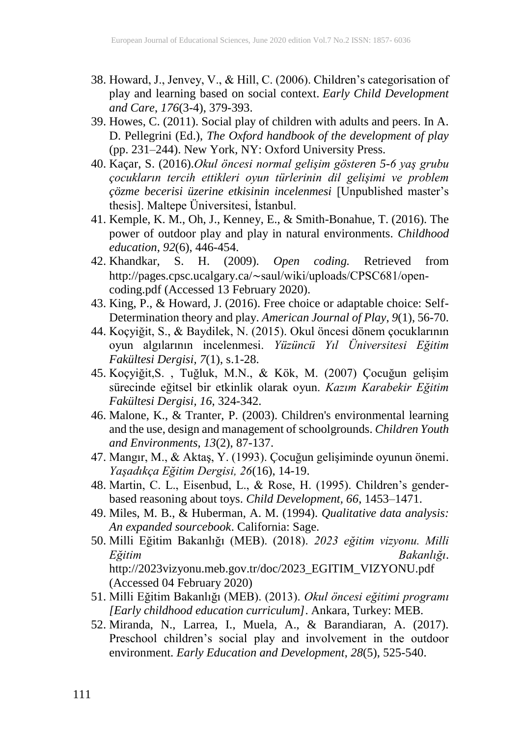- 38. Howard, J., Jenvey, V., & Hill, C. (2006). Children's categorisation of play and learning based on social context. *Early Child Development and Care*, *176*(3-4), 379-393.
- 39. Howes, C. (2011). Social play of children with adults and peers. In A. D. Pellegrini (Ed.), *The Oxford handbook of the development of play* (pp. 231–244). New York, NY: Oxford University Press.
- 40. Kaçar, S. (2016).*Okul öncesi normal gelişim gösteren 5-6 yaş grubu çocukların tercih ettikleri oyun türlerinin dil gelişimi ve problem çözme becerisi üzerine etkisinin incelenmesi* [Unpublished master's thesis]. Maltepe Üniversitesi, İstanbul.
- 41. Kemple, K. M., Oh, J., Kenney, E., & Smith-Bonahue, T. (2016). The power of outdoor play and play in natural environments. *Childhood education*, *92*(6), 446-454.
- 42. Khandkar, S. H. (2009). *Open coding.* Retrieved from http://pages.cpsc.ucalgary.ca/∼[saul/wiki/uploads/CPSC681/open‐](http://pages.cpsc.ucalgary.ca/~saul/wiki/uploads/CPSC681/open-coding.pdf) [coding.pdf](http://pages.cpsc.ucalgary.ca/~saul/wiki/uploads/CPSC681/open-coding.pdf) (Accessed 13 February 2020).
- 43. King, P., & Howard, J. (2016). Free choice or adaptable choice: Self-Determination theory and play. *American Journal of Play*, *9*(1), 56-70.
- 44. Koçyiğit, S., & Baydilek, N. (2015). Okul öncesi dönem çocuklarının oyun algılarının incelenmesi. *Yüzüncü Yıl Üniversitesi Eğitim Fakültesi Dergisi, 7*(1), s.1-28.
- 45. Koçyiğit,S. , Tuğluk, M.N., & Kök, M. (2007) Çocuğun gelişim sürecinde eğitsel bir etkinlik olarak oyun. *Kazım Karabekir Eğitim Fakültesi Dergisi, 16*, 324-342.
- 46. Malone, K., & Tranter, P. (2003). Children's environmental learning and the use, design and management of schoolgrounds. *Children Youth and Environments, 13*(2), 87-137.
- 47. Mangır, M., & Aktaş, Y. (1993). Çocuğun gelişiminde oyunun önemi. *Yaşadıkça Eğitim Dergisi, 26*(16), 14-19.
- 48. Martin, C. L., Eisenbud, L., & Rose, H. (1995). Children's genderbased reasoning about toys. *Child Development, 66*, 1453–1471.
- 49. Miles, M. B., & Huberman, A. M. (1994). *Qualitative data analysis: An expanded sourcebook*. California: Sage.
- 50. Milli Eğitim Bakanlığı (MEB). (2018). *2023 eğitim vizyonu. Milli Eğitim Bakanlığı*. http://2023vizyonu.meb.gov.tr/doc/2023\_EGITIM\_VIZYONU.pdf (Accessed 04 February 2020)
- 51. Milli Eğitim Bakanlığı (MEB). (2013). *Okul öncesi eğitimi programı [Early childhood education curriculum]*. Ankara, Turkey: MEB.
- 52. Miranda, N., Larrea, I., Muela, A., & Barandiaran, A. (2017). Preschool children's social play and involvement in the outdoor environment. *Early Education and Development*, *28*(5), 525-540.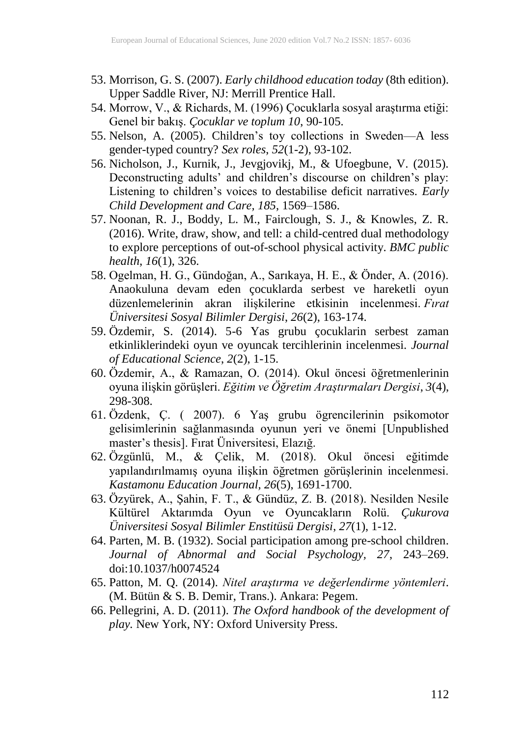- 53. Morrison, G. S. (2007). *Early childhood education today* (8th edition). Upper Saddle River, NJ: Merrill Prentice Hall.
- 54. Morrow, V., & Richards, M. (1996) Çocuklarla sosyal araştırma etiği: Genel bir bakış. *Çocuklar ve toplum 10*, 90-105.
- 55. Nelson, A. (2005). Children's toy collections in Sweden—A less gender-typed country? *Sex roles*, *52*(1-2), 93-102.
- 56. Nicholson, J., Kurnik, J., Jevgjovikj, M., & Ufoegbune, V. (2015). Deconstructing adults' and children's discourse on children's play: Listening to children's voices to destabilise deficit narratives. *Early Child Development and Care, 185*, 1569–1586.
- 57. Noonan, R. J., Boddy, L. M., Fairclough, S. J., & Knowles, Z. R. (2016). Write, draw, show, and tell: a child-centred dual methodology to explore perceptions of out-of-school physical activity. *BMC public health*, *16*(1), 326.
- 58. Ogelman, H. G., Gündoğan, A., Sarıkaya, H. E., & Önder, A. (2016). Anaokuluna devam eden çocuklarda serbest ve hareketli oyun düzenlemelerinin akran ilişkilerine etkisinin incelenmesi. *Fırat Üniversitesi Sosyal Bilimler Dergisi*, *26*(2), 163-174.
- 59. Özdemir, S. (2014). 5-6 Yas grubu çocuklarin serbest zaman etkinliklerindeki oyun ve oyuncak tercihlerinin incelenmesi. *Journal of Educational Science*, *2*(2), 1-15.
- 60. Özdemir, A., & Ramazan, O. (2014). Okul öncesi öğretmenlerinin oyuna ilişkin görüşleri. *Eğitim ve Öğretim Araştırmaları Dergisi*, *3*(4), 298-308.
- 61. Özdenk, Ç. ( 2007). 6 Yaş grubu ögrencilerinin psikomotor gelisimlerinin sağlanmasında oyunun yeri ve önemi [Unpublished master's thesis]. Fırat Üniversitesi, Elazığ.
- 62. Özgünlü, M., & Çelik, M. (2018). Okul öncesi eğitimde yapılandırılmamış oyuna ilişkin öğretmen görüşlerinin incelenmesi. *Kastamonu Education Journal, 26*(5), 1691-1700.
- 63. Özyürek, A., Şahin, F. T., & Gündüz, Z. B. (2018). Nesilden Nesile Kültürel Aktarımda Oyun ve Oyuncakların Rolü. *Çukurova Üniversitesi Sosyal Bilimler Enstitüsü Dergisi*, *27*(1), 1-12.
- 64. Parten, M. B. (1932). Social participation among pre-school children. *Journal of Abnormal and Social Psychology, 27*, 243–269. doi:10.1037/h0074524
- 65. Patton, M. Q. (2014). *Nitel araştırma ve değerlendirme yöntemleri*. (M. Bütün & S. B. Demir, Trans.). Ankara: Pegem.
- 66. Pellegrini, A. D. (2011). *The Oxford handbook of the development of play.* New York, NY: Oxford University Press.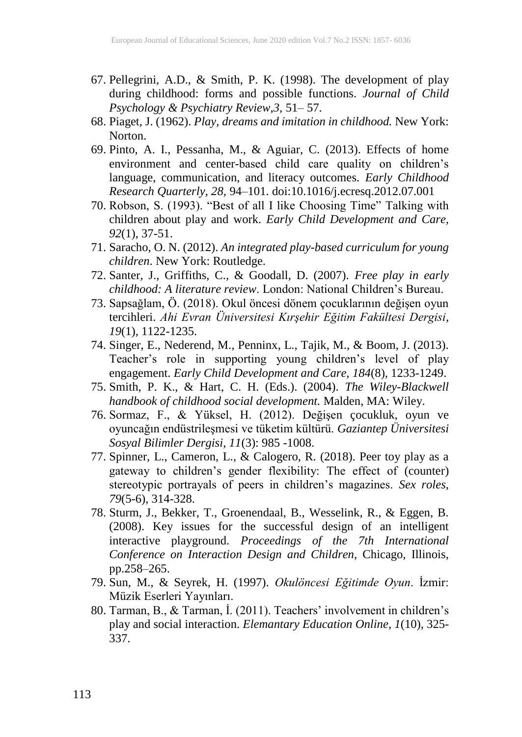- 67. Pellegrini, A.D., & Smith, P. K. (1998). The development of play during childhood: forms and possible functions. *Journal of Child Psychology & Psychiatry Review,3,* 51– 57.
- 68. Piaget, J. (1962). *Play, dreams and imitation in childhood.* New York: Norton.
- 69. Pinto, A. I., Pessanha, M., & Aguiar, C. (2013). Effects of home environment and center-based child care quality on children's language, communication, and literacy outcomes. *Early Childhood Research Quarterly, 28,* 94–101. doi:10.1016/j.ecresq.2012.07.001
- 70. Robson, S. (1993). "Best of all I like Choosing Time" Talking with children about play and work. *Early Child Development and Care, 92*(1), 37-51.
- 71. Saracho, O. N. (2012). *An integrated play-based curriculum for young children*. New York: Routledge.
- 72. Santer, J., Griffiths, C., & Goodall, D. (2007). *Free play in early childhood: A literature review*. London: National Children's Bureau.
- 73. Sapsağlam, Ö. (2018). Okul öncesi dönem çocuklarının değişen oyun tercihleri. *Ahi Evran Üniversitesi Kırşehir Eğitim Fakültesi Dergisi*, *19*(1), 1122-1235.
- 74. Singer, E., Nederend, M., Penninx, L., Tajik, M., & Boom, J. (2013). Teacher's role in supporting young children's level of play engagement. *Early Child Development and Care, 184*(8), 1233-1249.
- 75. Smith, P. K., & Hart, C. H. (Eds.). (2004). *The Wiley-Blackwell handbook of childhood social development.* Malden, MA: Wiley.
- 76. Sormaz, F., & Yüksel, H. (2012). Değişen çocukluk, oyun ve oyuncağın endüstrileşmesi ve tüketim kültürü. *Gaziantep Üniversitesi Sosyal Bilimler Dergisi, 11*(3): 985 -1008.
- 77. Spinner, L., Cameron, L., & Calogero, R. (2018). Peer toy play as a gateway to children's gender flexibility: The effect of (counter) stereotypic portrayals of peers in children's magazines. *Sex roles*, *79*(5-6), 314-328.
- 78. Sturm, J., Bekker, T., Groenendaal, B., Wesselink, R., & Eggen, B. (2008). Key issues for the successful design of an intelligent interactive playground. *Proceedings of the 7th International Conference on Interaction Design and Children*, Chicago, Illinois, pp.258–265.
- 79. Sun, M., & Seyrek, H. (1997). *Okulöncesi Eğitimde Oyun*. İzmir: Müzik Eserleri Yayınları.
- 80. Tarman, B., & Tarman, İ. (2011). Teachers' involvement in children's play and social interaction. *Elemantary Education Online, 1*(10), 325- 337.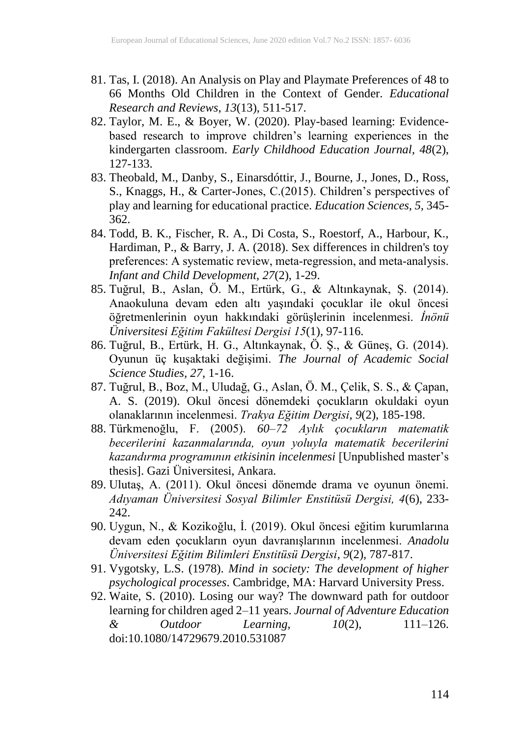- 81. Tas, I. (2018). An Analysis on Play and Playmate Preferences of 48 to 66 Months Old Children in the Context of Gender. *Educational Research and Reviews*, *13*(13), 511-517.
- 82. Taylor, M. E., & Boyer, W. (2020). Play-based learning: Evidencebased research to improve children's learning experiences in the kindergarten classroom. *Early Childhood Education Journal, 48*(2), 127-133.
- 83. Theobald, M., Danby, S., Einarsdóttir, J., Bourne, J., Jones, D., Ross, S., Knaggs, H., & Carter-Jones, C.(2015). Children's perspectives of play and learning for educational practice. *Education Sciences, 5,* 345- 362.
- 84. Todd, B. K., Fischer, R. A., Di Costa, S., Roestorf, A., Harbour, K., Hardiman, P., & Barry, J. A. (2018). Sex differences in children's toy preferences: A systematic review, meta‐regression, and meta‐analysis. *Infant and Child Development*, *27*(2), 1-29.
- 85. Tuğrul, B., Aslan, Ö. M., Ertürk, G., & Altınkaynak, Ş. (2014). Anaokuluna devam eden altı yaşındaki çocuklar ile okul öncesi öğretmenlerinin oyun hakkındaki görüşlerinin incelenmesi. *İnönü Üniversitesi Eğitim Fakültesi Dergisi 15*(1), 97-116.
- 86. Tuğrul, B., Ertürk, H. G., Altınkaynak, Ö. Ş., & Güneş, G. (2014). Oyunun üç kuşaktaki değişimi. *The Journal of Academic Social Science Studies, 27*, 1-16.
- 87. Tuğrul, B., Boz, M., Uludağ, G., Aslan, Ö. M., Çelik, S. S., & Çapan, A. S. (2019). Okul öncesi dönemdeki çocukların okuldaki oyun olanaklarının incelenmesi. *Trakya Eğitim Dergisi*, *9*(2), 185-198.
- 88. Türkmenoğlu, F. (2005). *60–72 Aylık çocukların matematik becerilerini kazanmalarında, oyun yoluyla matematik becerilerini kazandırma programının etkisinin incelenmesi* [Unpublished master's thesis]. Gazi Üniversitesi, Ankara.
- 89. Ulutaş, A. (2011). Okul öncesi dönemde drama ve oyunun önemi. *Adıyaman Üniversitesi Sosyal Bilimler Enstitüsü Dergisi, 4*(6), 233- 242.
- 90. Uygun, N., & Kozikoğlu, İ. (2019). Okul öncesi eğitim kurumlarına devam eden çocukların oyun davranışlarının incelenmesi. *Anadolu Üniversitesi Eğitim Bilimleri Enstitüsü Dergisi*, *9*(2), 787-817.
- 91. Vygotsky, L.S. (1978). *Mind in society: The development of higher psychological processes*. Cambridge, MA: Harvard University Press.
- 92. Waite, S. (2010). Losing our way? The downward path for outdoor learning for children aged 2–11 years. *Journal of Adventure Education & Outdoor Learning, 10*(2), 111–126. doi:10.1080/14729679.2010.531087